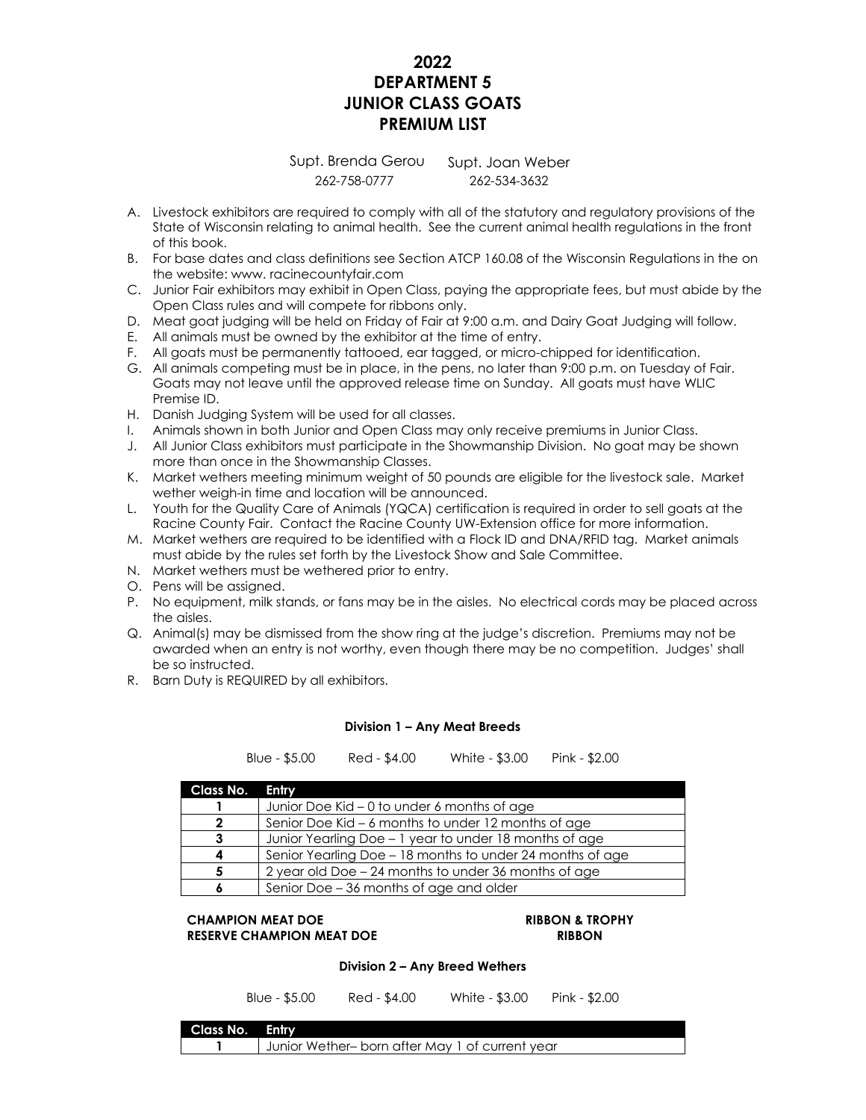# **2022 DEPARTMENT 5 JUNIOR CLASS GOATS PREMIUM LIST**

Supt. Brenda Gerou Supt. Joan Weber 262-758-0777 262-534-3632

- A. Livestock exhibitors are required to comply with all of the statutory and regulatory provisions of the State of Wisconsin relating to animal health. See the current animal health regulations in the front of this book.
- B. For base dates and class definitions see Section ATCP 160.08 of the Wisconsin Regulations in the on the website: www. racinecountyfair.com
- C. Junior Fair exhibitors may exhibit in Open Class, paying the appropriate fees, but must abide by the Open Class rules and will compete for ribbons only.
- D. Meat goat judging will be held on Friday of Fair at 9:00 a.m. and Dairy Goat Judging will follow.
- E. All animals must be owned by the exhibitor at the time of entry.
- F. All goats must be permanently tattooed, ear tagged, or micro-chipped for identification.
- G. All animals competing must be in place, in the pens, no later than 9:00 p.m. on Tuesday of Fair. Goats may not leave until the approved release time on Sunday. All goats must have WLIC Premise ID.
- H. Danish Judging System will be used for all classes.
- I. Animals shown in both Junior and Open Class may only receive premiums in Junior Class.
- J. All Junior Class exhibitors must participate in the Showmanship Division. No goat may be shown more than once in the Showmanship Classes.
- K. Market wethers meeting minimum weight of 50 pounds are eligible for the livestock sale. Market wether weigh-in time and location will be announced.
- L. Youth for the Quality Care of Animals (YQCA) certification is required in order to sell goats at the Racine County Fair. Contact the Racine County UW-Extension office for more information.
- M. Market wethers are required to be identified with a Flock ID and DNA/RFID tag. Market animals must abide by the rules set forth by the Livestock Show and Sale Committee.
- N. Market wethers must be wethered prior to entry.
- O. Pens will be assigned.
- P. No equipment, milk stands, or fans may be in the aisles. No electrical cords may be placed across the aisles.
- Q. Animal(s) may be dismissed from the show ring at the judge's discretion. Premiums may not be awarded when an entry is not worthy, even though there may be no competition. Judges' shall be so instructed.
- R. Barn Duty is REQUIRED by all exhibitors.

# **Division 1 – Any Meat Breeds**

Blue - \$5.00 Red - \$4.00 White - \$3.00 Pink - \$2.00

| Class No. Entry |                                                           |  |
|-----------------|-----------------------------------------------------------|--|
|                 | Junior Doe Kid – 0 to under 6 months of age               |  |
| 2               | Senior Doe Kid – 6 months to under 12 months of age       |  |
| 3               | Junior Yearling Doe - 1 year to under 18 months of age    |  |
|                 | Senior Yearling Doe - 18 months to under 24 months of age |  |
| 5               | 2 year old Doe – 24 months to under 36 months of age      |  |
|                 | Senior Doe – 36 months of age and older                   |  |

## **CHAMPION MEAT DOE RIBBON & TROPHY RESERVE CHAMPION MEAT DOE RIBBON**

# **Division 2 – Any Breed Wethers**

Blue - \$5.00 Red - \$4.00 White - \$3.00 Pink - \$2.00

| Class No. Entry |                                                 |
|-----------------|-------------------------------------------------|
|                 | Junior Wether- born after May 1 of current year |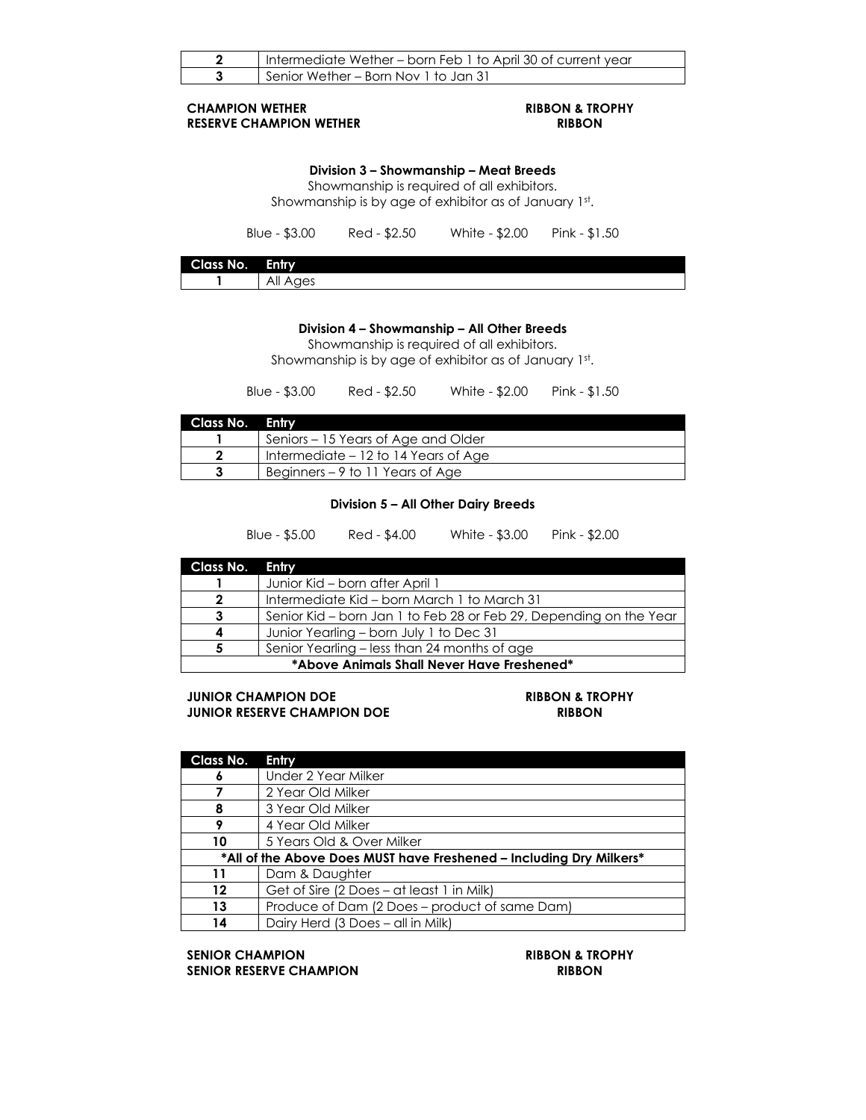| 2                                                                                                                                             | Intermediate Wether – born Feb 1 to April 30 of current year |              |                |                |  |
|-----------------------------------------------------------------------------------------------------------------------------------------------|--------------------------------------------------------------|--------------|----------------|----------------|--|
| 3                                                                                                                                             | Senior Wether – Born Nov 1 to Jan 31                         |              |                |                |  |
| <b>RIBBON &amp; TROPHY</b><br><b>CHAMPION WETHER</b><br><b>RESERVE CHAMPION WETHER</b><br><b>RIBBON</b>                                       |                                                              |              |                |                |  |
| Division 3 – Showmanship – Meat Breeds<br>Showmanship is required of all exhibitors.<br>Showmanship is by age of exhibitor as of January 1st. |                                                              |              |                |                |  |
|                                                                                                                                               | Blue - $$3.00$                                               | Red - \$2.50 | White - \$2.00 | $Pink - $1.50$ |  |
| Class No.                                                                                                                                     | Entry                                                        |              |                |                |  |
|                                                                                                                                               | All Ages                                                     |              |                |                |  |

# **Division 4 – Showmanship – All Other Breeds**

Showmanship is required of all exhibitors. Showmanship is by age of exhibitor as of January 1st.

Blue - \$3.00 Red - \$2.50 White - \$2.00 Pink - \$1.50

| Class No. Entry |                                      |
|-----------------|--------------------------------------|
|                 | Seniors – 15 Years of Age and Older  |
|                 | Intermediate – 12 to 14 Years of Age |
|                 | Beginners – 9 to 11 Years of Age     |

### **Division 5 – All Other Dairy Breeds**

Blue - \$5.00 Red - \$4.00 White - \$3.00 Pink - \$2.00

| Class No. Entry                            |                                                                    |  |
|--------------------------------------------|--------------------------------------------------------------------|--|
|                                            | Junior Kid – born after April 1                                    |  |
|                                            | Intermediate Kid – born March 1 to March 31                        |  |
|                                            | Senior Kid – born Jan 1 to Feb 28 or Feb 29, Depending on the Year |  |
|                                            | Junior Yearling – born July 1 to Dec 31                            |  |
|                                            | Senior Yearling - less than 24 months of age                       |  |
| *Above Animals Shall Never Have Freshened* |                                                                    |  |

**JUNIOR CHAMPION DOE RIBBON & TROPHY JUNIOR RESERVE CHAMPION DOE RIBBON**

| Class No. | Entry                                                               |
|-----------|---------------------------------------------------------------------|
| 6         | Under 2 Year Milker                                                 |
|           | 2 Year Old Milker                                                   |
| 8         | 3 Year Old Milker                                                   |
|           | 4 Year Old Milker                                                   |
| 10        | 5 Years Old & Over Milker                                           |
|           | *All of the Above Does MUST have Freshened – Including Dry Milkers* |
| 11        | Dam & Daughter                                                      |
| 12        | Get of Sire (2 Does – at least 1 in Milk)                           |
| 13        | Produce of Dam (2 Does – product of same Dam)                       |
| 14        | Dairy Herd (3 Does – all in Milk)                                   |
|           |                                                                     |

**SENIOR CHAMPION RIBBON & TROPHY SENIOR RESERVE CHAMPION RIBBON**